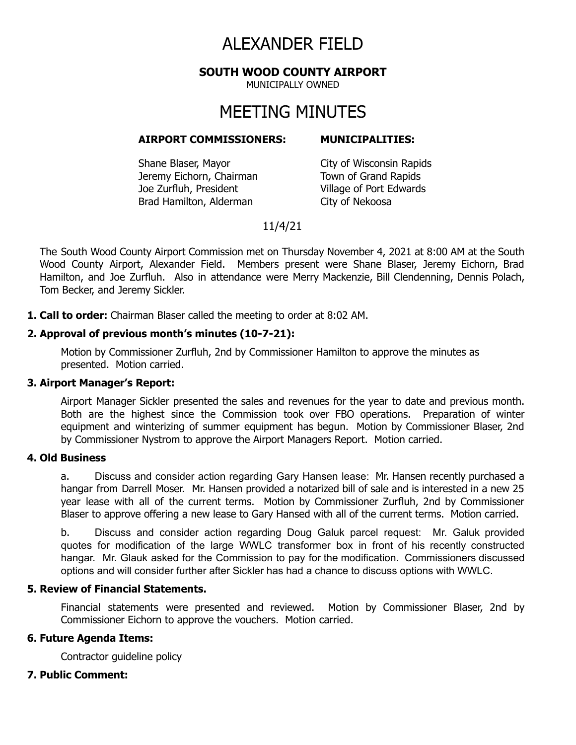# ALEXANDER FIELD

**SOUTH WOOD COUNTY AIRPORT**

MUNICIPALLY OWNED

# MEETING MINUTES

#### **AIRPORT COMMISSIONERS: MUNICIPALITIES:**

Shane Blaser, Mayor City of Wisconsin Rapids Jeremy Eichorn, Chairman Town of Grand Rapids Joe Zurfluh, President Village of Port Edwards Brad Hamilton, Alderman City of Nekoosa

# 11/4/21

The South Wood County Airport Commission met on Thursday November 4, 2021 at 8:00 AM at the South Wood County Airport, Alexander Field. Members present were Shane Blaser, Jeremy Eichorn, Brad Hamilton, and Joe Zurfluh. Also in attendance were Merry Mackenzie, Bill Clendenning, Dennis Polach, Tom Becker, and Jeremy Sickler.

**1. Call to order:** Chairman Blaser called the meeting to order at 8:02 AM.

### **2. Approval of previous month's minutes (10-7-21):**

Motion by Commissioner Zurfluh, 2nd by Commissioner Hamilton to approve the minutes as presented. Motion carried.

#### **3. Airport Manager's Report:**

Airport Manager Sickler presented the sales and revenues for the year to date and previous month. Both are the highest since the Commission took over FBO operations. Preparation of winter equipment and winterizing of summer equipment has begun. Motion by Commissioner Blaser, 2nd by Commissioner Nystrom to approve the Airport Managers Report. Motion carried.

#### **4. Old Business**

a. Discuss and consider action regarding Gary Hansen lease: Mr. Hansen recently purchased a hangar from Darrell Moser. Mr. Hansen provided a notarized bill of sale and is interested in a new 25 year lease with all of the current terms. Motion by Commissioner Zurfluh, 2nd by Commissioner Blaser to approve offering a new lease to Gary Hansed with all of the current terms. Motion carried.

b. Discuss and consider action regarding Doug Galuk parcel request: Mr. Galuk provided quotes for modification of the large WWLC transformer box in front of his recently constructed hangar. Mr. Glauk asked for the Commission to pay for the modification. Commissioners discussed options and will consider further after Sickler has had a chance to discuss options with WWLC.

#### **5. Review of Financial Statements.**

Financial statements were presented and reviewed. Motion by Commissioner Blaser, 2nd by Commissioner Eichorn to approve the vouchers. Motion carried.

# **6. Future Agenda Items:**

Contractor guideline policy

# **7. Public Comment:**